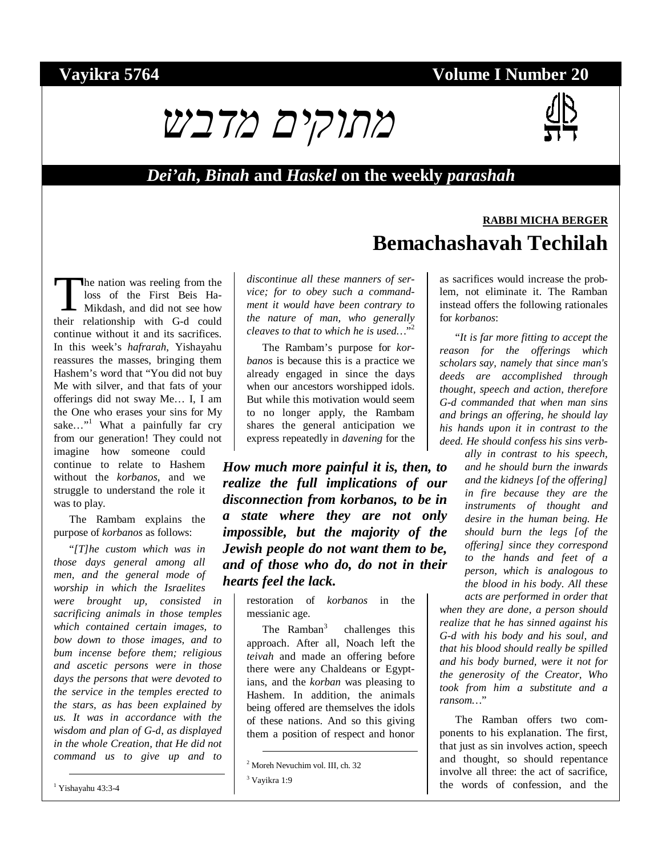### **Vayikra 5764 Volume I Number 20**



#### *Dei'ah***,** *Binah* **and** *Haskel* **on the weekly** *parashah*

he nation was reeling from the loss of the First Beis Ha-Mikdash, and did not see how The nation was reeling from the<br>loss of the First Beis Ha-<br>Mikdash, and did not see how<br>their relationship with G-d could continue without it and its sacrifices. In this week's *hafrarah*, Yishayahu reassures the masses, bringing them Hashem's word that "You did not buy Me with silver, and that fats of your offerings did not sway Me… I, I am the One who erases your sins for My sake..."<sup>1</sup> What a painfully far cry from our generation! They could not imagine how someone could continue to relate to Hashem without the *korbanos*, and we struggle to understand the role it was to play.

The Rambam explains the purpose of *korbanos* as follows:

"*[T]he custom which was in those days general among all men, and the general mode of worship in which the Israelites were brought up, consisted in sacrificing animals in those temples which contained certain images, to bow down to those images, and to bum incense before them; religious and ascetic persons were in those days the persons that were devoted to the service in the temples erected to the stars, as has been explained by us. It was in accordance with the wisdom and plan of G-d, as displayed in the whole Creation, that He did not command us to give up and to* 

*discontinue all these manners of service; for to obey such a commandment it would have been contrary to the nature of man, who generally cleaves to that to which he is used…*" 2

The Rambam's purpose for *korbanos* is because this is a practice we already engaged in since the days when our ancestors worshipped idols. But while this motivation would seem to no longer apply, the Rambam shares the general anticipation we express repeatedly in *davening* for the

*How much more painful it is, then, to realize the full implications of our disconnection from korbanos, to be in a state where they are not only impossible, but the majority of the Jewish people do not want them to be, and of those who do, do not in their hearts feel the lack.* 

restoration of *korbanos* in the messianic age.

The Ramban<sup>3</sup> challenges this approach. After all, Noach left the *teivah* and made an offering before there were any Chaldeans or Egyptians, and the *korban* was pleasing to Hashem. In addition, the animals being offered are themselves the idols of these nations. And so this giving them a position of respect and honor as sacrifices would increase the problem, not eliminate it. The Ramban instead offers the following rationales for *korbanos*:

**Bemachashavah Techilah** 

**RABBI MICHA BERGER**

"*It is far more fitting to accept the reason for the offerings which scholars say, namely that since man's deeds are accomplished through thought, speech and action, therefore G-d commanded that when man sins and brings an offering, he should lay his hands upon it in contrast to the deed. He should confess his sins verb-*

> *ally in contrast to his speech, and he should burn the inwards and the kidneys [of the offering] in fire because they are the instruments of thought and desire in the human being. He should burn the legs [of the offering] since they correspond to the hands and feet of a person, which is analogous to the blood in his body. All these acts are performed in order that*

*when they are done, a person should realize that he has sinned against his G-d with his body and his soul, and that his blood should really be spilled and his body burned, were it not for the generosity of the Creator, Who took from him a substitute and a ransom…*"

The Ramban offers two components to his explanation. The first, that just as sin involves action, speech and thought, so should repentance involve all three: the act of sacrifice, the words of confession, and the

 <sup>2</sup> Moreh Nevuchim vol. III, ch. 32

<sup>3</sup> Vayikra 1:9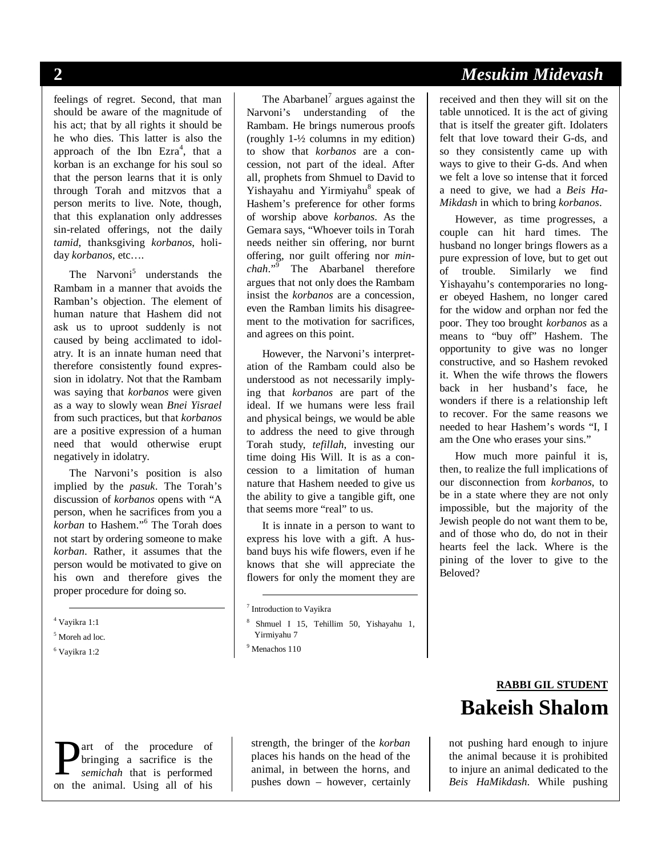feelings of regret. Second, that man should be aware of the magnitude of his act; that by all rights it should be he who dies. This latter is also the approach of the Ibn  $Exra<sup>4</sup>$ , that a korban is an exchange for his soul so that the person learns that it is only through Torah and mitzvos that a person merits to live. Note, though, that this explanation only addresses sin-related offerings, not the daily *tamid*, thanksgiving *korbanos*, holiday *korbanos*, etc….

The Narvoni<sup>5</sup> understands the Rambam in a manner that avoids the Ramban's objection. The element of human nature that Hashem did not ask us to uproot suddenly is not caused by being acclimated to idolatry. It is an innate human need that therefore consistently found expression in idolatry. Not that the Rambam was saying that *korbanos* were given as a way to slowly wean *Bnei Yisrael* from such practices, but that *korbanos* are a positive expression of a human need that would otherwise erupt negatively in idolatry.

The Narvoni's position is also implied by the *pasuk*. The Torah's discussion of *korbanos* opens with "A person, when he sacrifices from you a korban to Hashem."<sup>6</sup> The Torah does not start by ordering someone to make *korban*. Rather, it assumes that the person would be motivated to give on his own and therefore gives the proper procedure for doing so.

- 5 Moreh ad loc.
- 6 Vayikra 1:2

The Abarbanel<sup>7</sup> argues against the Narvoni's understanding of the Rambam. He brings numerous proofs (roughly 1-½ columns in my edition) to show that *korbanos* are a concession, not part of the ideal. After all, prophets from Shmuel to David to Yishayahu and Yirmiyahu<sup>8</sup> speak of Hashem's preference for other forms of worship above *korbanos*. As the Gemara says, "Whoever toils in Torah needs neither sin offering, nor burnt offering, nor guilt offering nor *minchah*."<sup>9</sup> The Abarbanel therefore argues that not only does the Rambam insist the *korbanos* are a concession, even the Ramban limits his disagreement to the motivation for sacrifices, and agrees on this point.

However, the Narvoni's interpretation of the Rambam could also be understood as not necessarily implying that *korbanos* are part of the ideal. If we humans were less frail and physical beings, we would be able to address the need to give through Torah study, *tefillah*, investing our time doing His Will. It is as a concession to a limitation of human nature that Hashem needed to give us the ability to give a tangible gift, one that seems more "real" to us.

It is innate in a person to want to express his love with a gift. A husband buys his wife flowers, even if he knows that she will appreciate the flowers for only the moment they are

8 Shmuel I 15, Tehillim 50, Yishayahu 1, Yirmiyahu 7

strength, the bringer of the *korban* places his hands on the head of the animal, in between the horns, and pushes down – however, certainly **Example 18** a sacrifice is the strength, the bringer of the *korban*<br> *semichah* that is performed<br> **on** the animal Ising all of his pushes down – however, certainly being the *animal* dedicated to the

# **2** *Mesukim Midevash*

received and then they will sit on the table unnoticed. It is the act of giving that is itself the greater gift. Idolaters felt that love toward their G-ds, and so they consistently came up with ways to give to their G-ds. And when we felt a love so intense that it forced a need to give, we had a *Beis Ha-Mikdash* in which to bring *korbanos*.

However, as time progresses, a couple can hit hard times. The husband no longer brings flowers as a pure expression of love, but to get out of trouble. Similarly we find Yishayahu's contemporaries no longer obeyed Hashem, no longer cared for the widow and orphan nor fed the poor. They too brought *korbanos* as a means to "buy off" Hashem. The opportunity to give was no longer constructive, and so Hashem revoked it. When the wife throws the flowers back in her husband's face, he wonders if there is a relationship left to recover. For the same reasons we needed to hear Hashem's words "I, I am the One who erases your sins."

How much more painful it is, then, to realize the full implications of our disconnection from *korbanos*, to be in a state where they are not only impossible, but the majority of the Jewish people do not want them to be, and of those who do, do not in their hearts feel the lack. Where is the pining of the lover to give to the Beloved?

# **RABBI GIL STUDENT Bakeish Shalom**

not pushing hard enough to injure the animal because it is prohibited *Beis HaMikdash*. While pushing

 <sup>4</sup> Vayikra 1:1

 <sup>7</sup> Introduction to Vayikra

<sup>9</sup> Menachos 110

art of the procedure of bringing a sacrifice is the *semichah* that is performed on the animal. Using all of his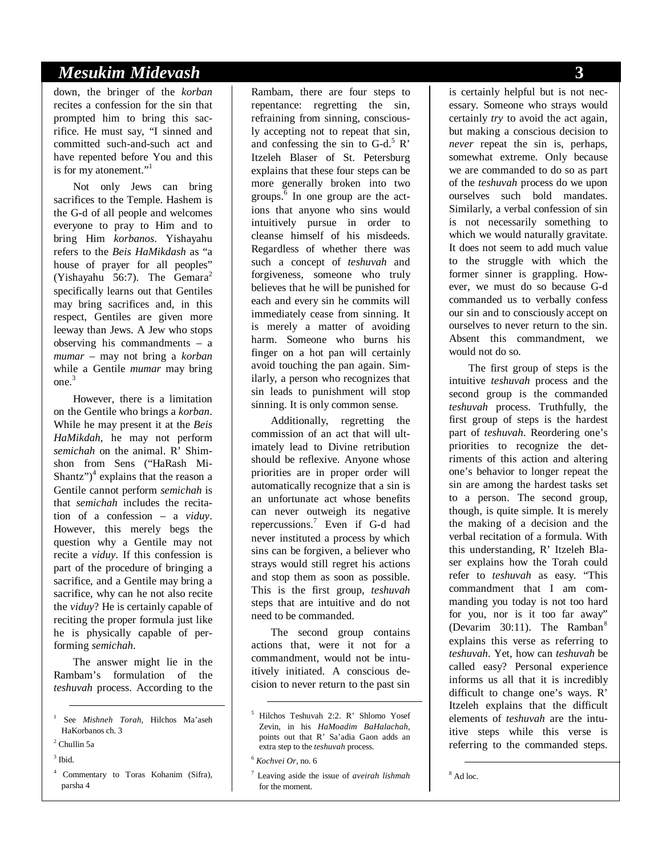#### *Mesukim Midevash* **3**

down, the bringer of the *korban* recites a confession for the sin that prompted him to bring this sacrifice. He must say, "I sinned and committed such-and-such act and have repented before You and this is for my atonement."<sup>1</sup>

Not only Jews can bring sacrifices to the Temple. Hashem is the G-d of all people and welcomes everyone to pray to Him and to bring Him *korbanos*. Yishayahu refers to the *Beis HaMikdash* as "a house of prayer for all peoples" (Yishayahu 56:7). The Gemara<sup>2</sup> specifically learns out that Gentiles may bring sacrifices and, in this respect, Gentiles are given more leeway than Jews. A Jew who stops observing his commandments – a *mumar* – may not bring a *korban* while a Gentile *mumar* may bring one.<sup>3</sup>

However, there is a limitation on the Gentile who brings a *korban*. While he may present it at the *Beis HaMikdah*, he may not perform *semichah* on the animal. R' Shimshon from Sens ("HaRash Mi-Shantz") $<sup>4</sup>$  explains that the reason a</sup> Gentile cannot perform *semichah* is that *semichah* includes the recitation of a confession – a *viduy*. However, this merely begs the question why a Gentile may not recite a *viduy*. If this confession is part of the procedure of bringing a sacrifice, and a Gentile may bring a sacrifice, why can he not also recite the *viduy*? He is certainly capable of reciting the proper formula just like he is physically capable of performing *semichah*.

The answer might lie in the Rambam's formulation of the *teshuvah* process. According to the

- 1 See *Mishneh Torah*, Hilchos Ma'aseh HaKorbanos ch. 3
- 2 Chullin 5a
- $3$  Ibid.
- 4 Commentary to Toras Kohanim (Sifra), parsha 4

Rambam, there are four steps to repentance: regretting the sin, refraining from sinning, consciously accepting not to repeat that sin, and confessing the sin to  $G-d$ <sup>5</sup> R' Itzeleh Blaser of St. Petersburg explains that these four steps can be more generally broken into two groups.<sup>6</sup> In one group are the actions that anyone who sins would intuitively pursue in order to cleanse himself of his misdeeds. Regardless of whether there was such a concept of *teshuvah* and forgiveness, someone who truly believes that he will be punished for each and every sin he commits will immediately cease from sinning. It is merely a matter of avoiding harm. Someone who burns his finger on a hot pan will certainly avoid touching the pan again. Similarly, a person who recognizes that sin leads to punishment will stop sinning. It is only common sense.

Additionally, regretting the commission of an act that will ultimately lead to Divine retribution should be reflexive. Anyone whose priorities are in proper order will automatically recognize that a sin is an unfortunate act whose benefits can never outweigh its negative repercussions.<sup>7</sup> Even if G-d had never instituted a process by which sins can be forgiven, a believer who strays would still regret his actions and stop them as soon as possible. This is the first group, *teshuvah* steps that are intuitive and do not need to be commanded.

The second group contains actions that, were it not for a commandment, would not be intuitively initiated. A conscious decision to never return to the past sin is certainly helpful but is not necessary. Someone who strays would certainly *try* to avoid the act again, but making a conscious decision to *never* repeat the sin is, perhaps, somewhat extreme. Only because we are commanded to do so as part of the *teshuvah* process do we upon ourselves such bold mandates. Similarly, a verbal confession of sin is not necessarily something to which we would naturally gravitate. It does not seem to add much value to the struggle with which the former sinner is grappling. However, we must do so because G-d commanded us to verbally confess our sin and to consciously accept on ourselves to never return to the sin. Absent this commandment, we would not do so.

The first group of steps is the intuitive *teshuvah* process and the second group is the commanded *teshuvah* process. Truthfully, the first group of steps is the hardest part of *teshuvah*. Reordering one's priorities to recognize the detriments of this action and altering one's behavior to longer repeat the sin are among the hardest tasks set to a person. The second group, though, is quite simple. It is merely the making of a decision and the verbal recitation of a formula. With this understanding, R' Itzeleh Blaser explains how the Torah could refer to *teshuvah* as easy. "This commandment that I am commanding you today is not too hard for you, nor is it too far away" (Devarim 30:11). The Ramban<sup>8</sup> explains this verse as referring to *teshuvah*. Yet, how can *teshuvah* be called easy? Personal experience informs us all that it is incredibly difficult to change one's ways. R' Itzeleh explains that the difficult elements of *teshuvah* are the intuitive steps while this verse is referring to the commanded steps.

<sup>8</sup> Ad loc.

 <sup>5</sup> Hilchos Teshuvah 2:2. R' Shlomo Yosef Zevin, in his *HaMoadim BaHalachah*, points out that R' Sa'adia Gaon adds an extra step to the *teshuvah* process.

<sup>6</sup> *Kochvei Or*, no. 6

<sup>7</sup> Leaving aside the issue of *aveirah lishmah* for the moment.